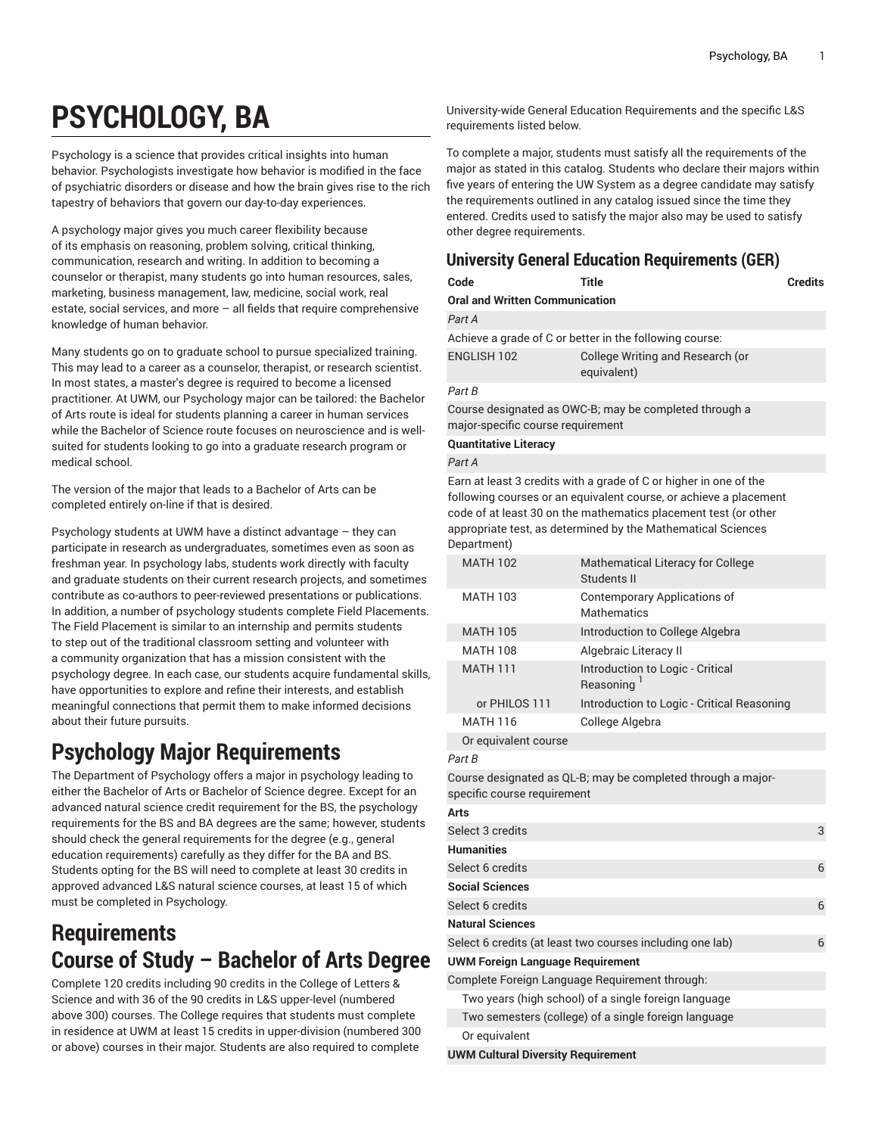# **PSYCHOLOGY, BA**

Psychology is a science that provides critical insights into human behavior. Psychologists investigate how behavior is modified in the face of psychiatric disorders or disease and how the brain gives rise to the rich tapestry of behaviors that govern our day-to-day experiences.

A psychology major gives you much career flexibility because of its emphasis on reasoning, problem solving, critical thinking, communication, research and writing. In addition to becoming a counselor or therapist, many students go into human resources, sales, marketing, business management, law, medicine, social work, real estate, social services, and more – all fields that require comprehensive knowledge of human behavior.

Many students go on to graduate school to pursue specialized training. This may lead to a career as a counselor, therapist, or research scientist. In most states, a master's degree is required to become a licensed practitioner. At UWM, our Psychology major can be tailored: the Bachelor of Arts route is ideal for students planning a career in human services while the Bachelor of Science route focuses on neuroscience and is wellsuited for students looking to go into a graduate research program or medical school.

The version of the major that leads to a Bachelor of Arts can be completed entirely on-line if that is desired.

Psychology students at UWM have a distinct advantage – they can participate in research as undergraduates, sometimes even as soon as freshman year. In psychology labs, students work directly with faculty and graduate students on their current research projects, and sometimes contribute as co-authors to peer-reviewed presentations or publications. In addition, a number of psychology students complete Field Placements. The Field Placement is similar to an internship and permits students to step out of the traditional classroom setting and volunteer with a community organization that has a mission consistent with the psychology degree. In each case, our students acquire fundamental skills, have opportunities to explore and refine their interests, and establish meaningful connections that permit them to make informed decisions about their future pursuits.

## **Psychology Major Requirements**

The Department of Psychology offers a major in psychology leading to either the Bachelor of Arts or Bachelor of Science degree. Except for an advanced natural science credit requirement for the BS, the psychology requirements for the BS and BA degrees are the same; however, students should check the general requirements for the degree (e.g., general education requirements) carefully as they differ for the BA and BS. Students opting for the BS will need to complete at least 30 credits in approved advanced L&S natural science courses, at least 15 of which must be completed in Psychology.

## **Requirements Course of Study – Bachelor of Arts Degree**

Complete 120 credits including 90 credits in the College of Letters & Science and with 36 of the 90 credits in L&S upper-level (numbered above 300) courses. The College requires that students must complete in residence at UWM at least 15 credits in upper-division (numbered 300 or above) courses in their major. Students are also required to complete

University-wide General Education Requirements and the specific L&S requirements listed below.

To complete a major, students must satisfy all the requirements of the major as stated in this catalog. Students who declare their majors within five years of entering the UW System as a degree candidate may satisfy the requirements outlined in any catalog issued since the time they entered. Credits used to satisfy the major also may be used to satisfy other degree requirements.

### **University General Education Requirements (GER)**

| Code                                  | Title                                                   | Credits |
|---------------------------------------|---------------------------------------------------------|---------|
| <b>Oral and Written Communication</b> |                                                         |         |
| Part A                                |                                                         |         |
|                                       | Achieve a grade of C or better in the following course: |         |
| ENGLISH 102                           | College Writing and Research (or<br>equivalent)         |         |
| Part R                                |                                                         |         |

Course designated as OWC-B; may be completed through a major-specific course requirement

**Quantitative Literacy**

#### *Part A*

Earn at least 3 credits with a grade of C or higher in one of the following courses or an equivalent course, or achieve a placement code of at least 30 on the mathematics placement test (or other appropriate test, as determined by the Mathematical Sciences Department)

| <b>MATH 102</b>      | Mathematical Literacy for College<br>Students II           |
|----------------------|------------------------------------------------------------|
| <b>MATH 103</b>      | Contemporary Applications of<br>Mathematics                |
| <b>MATH 105</b>      | Introduction to College Algebra                            |
| <b>MATH 108</b>      | Algebraic Literacy II                                      |
| <b>MATH 111</b>      | Introduction to Logic - Critical<br>Reasoning <sup>1</sup> |
| or PHILOS 111        | Introduction to Logic - Critical Reasoning                 |
| <b>MATH 116</b>      | College Algebra                                            |
| Or equivalent course |                                                            |

#### *Part B*

Course designated as QL-B; may be completed through a majorspecific course requirement

| Arts                                                      |   |
|-----------------------------------------------------------|---|
| Select 3 credits                                          | 3 |
| Humanities                                                |   |
| Select 6 credits                                          | 6 |
| Social Sciences                                           |   |
| Select 6 credits                                          | 6 |
| Natural Sciences                                          |   |
| Select 6 credits (at least two courses including one lab) | 6 |
| <b>UWM Foreign Language Requirement</b>                   |   |
| Complete Foreign Language Requirement through:            |   |
| Two years (high school) of a single foreign language      |   |
| Two semesters (college) of a single foreign language      |   |
| Or equivalent                                             |   |
| <b>UWM Cultural Diversity Requirement</b>                 |   |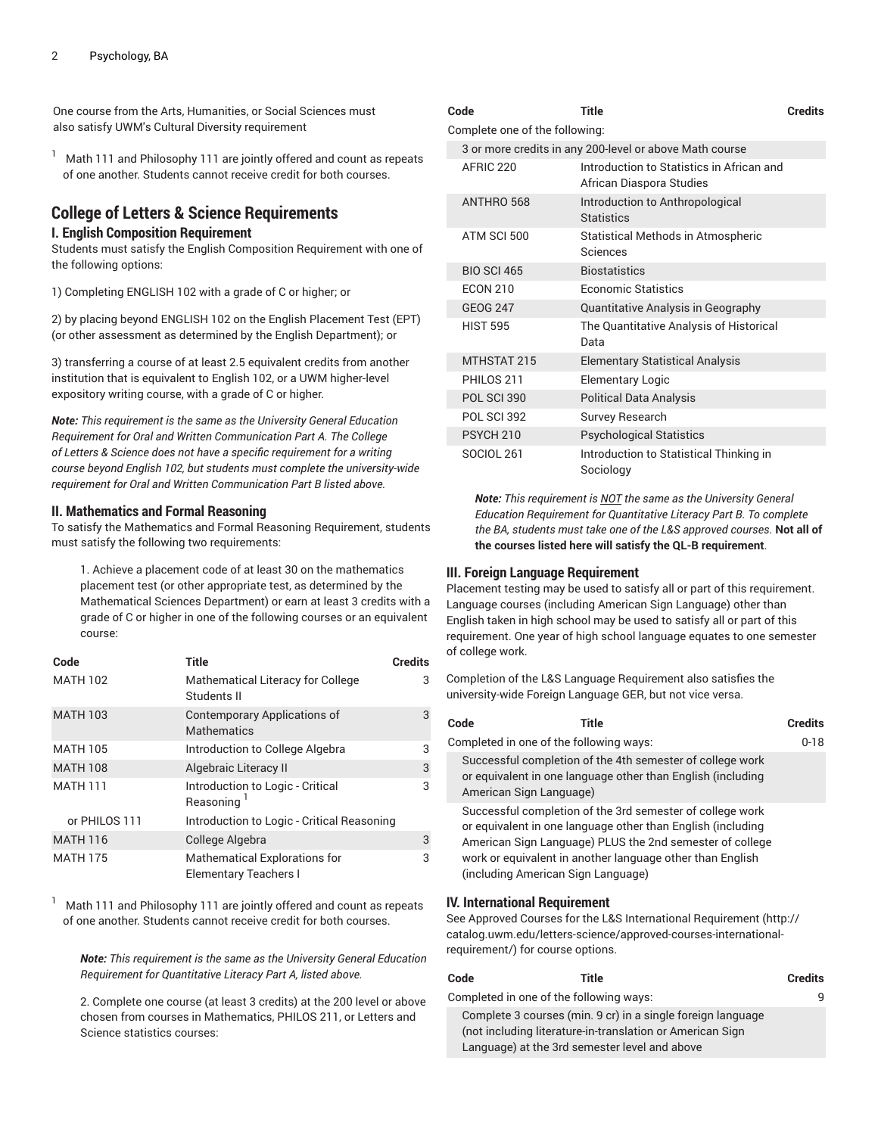One course from the Arts, Humanities, or Social Sciences must also satisfy UWM's Cultural Diversity requirement

<sup>1</sup> Math 111 and Philosophy 111 are jointly offered and count as repeats of one another. Students cannot receive credit for both courses.

### **College of Letters & Science Requirements I. English Composition Requirement**

Students must satisfy the English Composition Requirement with one of the following options:

1) Completing ENGLISH 102 with a grade of C or higher; or

2) by placing beyond ENGLISH 102 on the English Placement Test (EPT) (or other assessment as determined by the English Department); or

3) transferring a course of at least 2.5 equivalent credits from another institution that is equivalent to English 102, or a UWM higher-level expository writing course, with a grade of C or higher.

*Note: This requirement is the same as the University General Education Requirement for Oral and Written Communication Part A. The College of Letters & Science does not have a specific requirement for a writing course beyond English 102, but students must complete the university-wide requirement for Oral and Written Communication Part B listed above.*

#### **II. Mathematics and Formal Reasoning**

To satisfy the Mathematics and Formal Reasoning Requirement, students must satisfy the following two requirements:

1. Achieve a placement code of at least 30 on the mathematics placement test (or other appropriate test, as determined by the Mathematical Sciences Department) or earn at least 3 credits with a grade of C or higher in one of the following courses or an equivalent course:

| Code            | <b>Title</b>                                                         | <b>Credits</b> |
|-----------------|----------------------------------------------------------------------|----------------|
| <b>MATH 102</b> | Mathematical Literacy for College<br>Students II                     | 3              |
| <b>MATH 103</b> | Contemporary Applications of<br><b>Mathematics</b>                   | 3              |
| <b>MATH 105</b> | Introduction to College Algebra                                      | 3              |
| <b>MATH 108</b> | Algebraic Literacy II                                                | 3              |
| <b>MATH 111</b> | Introduction to Logic - Critical<br>Reasoning                        | 3              |
| or PHILOS 111   | Introduction to Logic - Critical Reasoning                           |                |
| <b>MATH 116</b> | College Algebra                                                      | 3              |
| <b>MATH 175</b> | <b>Mathematical Explorations for</b><br><b>Elementary Teachers I</b> | 3              |

<sup>1</sup> Math 111 and Philosophy 111 are jointly offered and count as repeats of one another. Students cannot receive credit for both courses.

*Note: This requirement is the same as the University General Education Requirement for Quantitative Literacy Part A, listed above.*

2. Complete one course (at least 3 credits) at the 200 level or above chosen from courses in Mathematics, PHILOS 211, or Letters and Science statistics courses:

| Code                           | <b>Title</b>                                                          | <b>Credits</b> |  |  |
|--------------------------------|-----------------------------------------------------------------------|----------------|--|--|
| Complete one of the following: |                                                                       |                |  |  |
|                                | 3 or more credits in any 200-level or above Math course               |                |  |  |
| AFRIC <sub>220</sub>           | Introduction to Statistics in African and<br>African Diaspora Studies |                |  |  |
| ANTHRO 568                     | Introduction to Anthropological<br><b>Statistics</b>                  |                |  |  |
| ATM SCL500                     | Statistical Methods in Atmospheric<br>Sciences                        |                |  |  |
| <b>BIO SCI 465</b>             | <b>Biostatistics</b>                                                  |                |  |  |
| <b>FCON 210</b>                | Economic Statistics                                                   |                |  |  |
| <b>GEOG 247</b>                | Quantitative Analysis in Geography                                    |                |  |  |
| <b>HIST 595</b>                | The Quantitative Analysis of Historical<br>Data                       |                |  |  |
| MTHSTAT 215                    | <b>Elementary Statistical Analysis</b>                                |                |  |  |
| PHILOS 211                     | <b>Elementary Logic</b>                                               |                |  |  |
| <b>POL SCI 390</b>             | <b>Political Data Analysis</b>                                        |                |  |  |
| <b>POL SCI 392</b>             | Survey Research                                                       |                |  |  |
| PSYCH 210                      | <b>Psychological Statistics</b>                                       |                |  |  |
| SOCIOL 261                     | Introduction to Statistical Thinking in<br>Sociology                  |                |  |  |

*Note: This requirement is NOT the same as the University General Education Requirement for Quantitative Literacy Part B. To complete the BA, students must take one of the L&S approved courses.* **Not all of the courses listed here will satisfy the QL-B requirement**.

#### **III. Foreign Language Requirement**

Placement testing may be used to satisfy all or part of this requirement. Language courses (including American Sign Language) other than English taken in high school may be used to satisfy all or part of this requirement. One year of high school language equates to one semester of college work.

Completion of the L&S Language Requirement also satisfies the university-wide Foreign Language GER, but not vice versa.

| Code                                    | Title                                                                                                                                                                                                                                             | Credits  |
|-----------------------------------------|---------------------------------------------------------------------------------------------------------------------------------------------------------------------------------------------------------------------------------------------------|----------|
| Completed in one of the following ways: |                                                                                                                                                                                                                                                   | $0 - 18$ |
| American Sign Language)                 | Successful completion of the 4th semester of college work<br>or equivalent in one language other than English (including                                                                                                                          |          |
| (including American Sign Language)      | Successful completion of the 3rd semester of college work<br>or equivalent in one language other than English (including<br>American Sign Language) PLUS the 2nd semester of college<br>work or equivalent in another language other than English |          |

#### **IV. International Requirement**

See Approved Courses for the L&S International [Requirement](http://catalog.uwm.edu/letters-science/approved-courses-international-requirement/) ([http://](http://catalog.uwm.edu/letters-science/approved-courses-international-requirement/) [catalog.uwm.edu/letters-science/approved-courses-international](http://catalog.uwm.edu/letters-science/approved-courses-international-requirement/)[requirement/](http://catalog.uwm.edu/letters-science/approved-courses-international-requirement/)) for course options.

| Code | Title                                                                                                                    | <b>Credits</b> |
|------|--------------------------------------------------------------------------------------------------------------------------|----------------|
|      | Completed in one of the following ways:                                                                                  | q              |
|      | Complete 3 courses (min. 9 cr) in a single foreign language<br>(not including literature-in-translation or American Sign |                |
|      | Language) at the 3rd semester level and above                                                                            |                |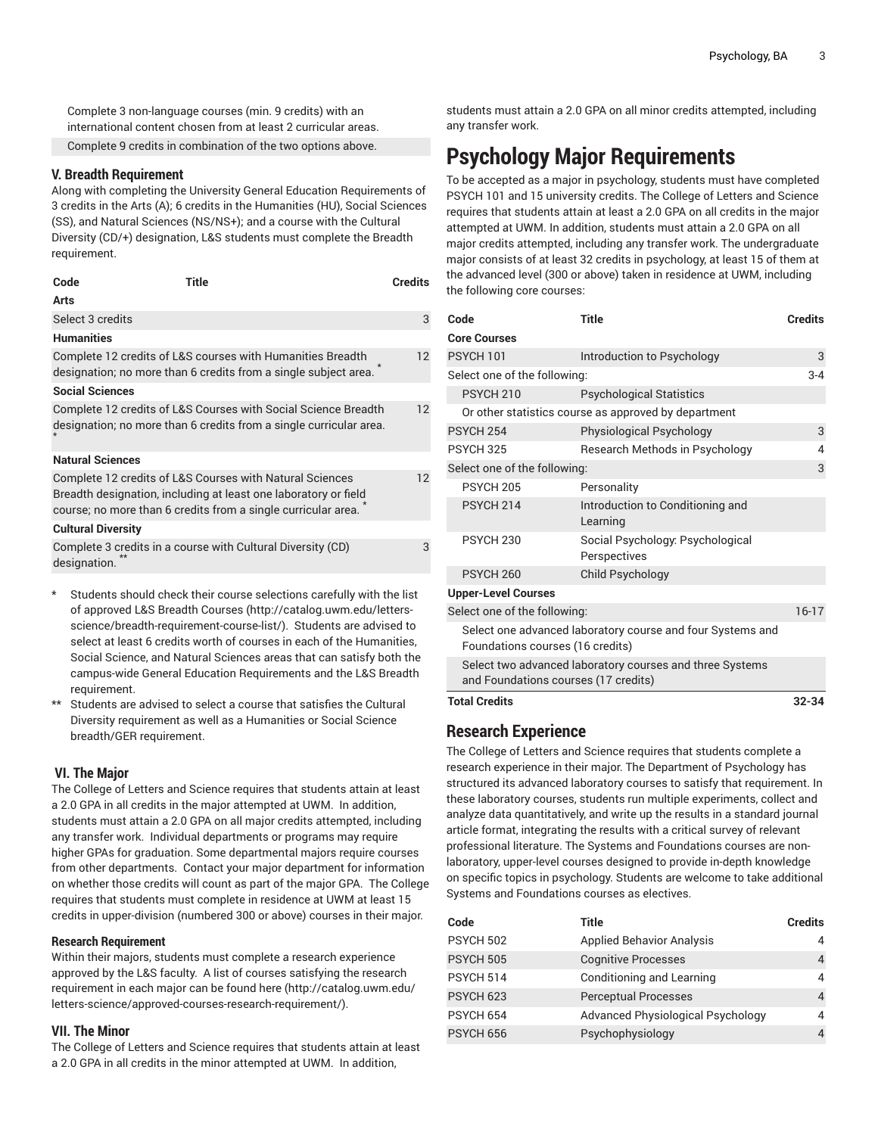Complete 3 non-language courses (min. 9 credits) with an international content chosen from at least 2 curricular areas.

Complete 9 credits in combination of the two options above.

#### **V. Breadth Requirement**

Along with completing the University General Education Requirements of 3 credits in the Arts (A); 6 credits in the Humanities (HU), Social Sciences (SS), and Natural Sciences (NS/NS+); and a course with the Cultural Diversity (CD/+) designation, L&S students must complete the Breadth requirement.

| Code                      | Title                                                                                                                                                                                        | <b>Credits</b> |
|---------------------------|----------------------------------------------------------------------------------------------------------------------------------------------------------------------------------------------|----------------|
| Arts                      |                                                                                                                                                                                              |                |
| Select 3 credits          |                                                                                                                                                                                              | 3              |
| <b>Humanities</b>         |                                                                                                                                                                                              |                |
|                           | Complete 12 credits of L&S courses with Humanities Breadth<br>designation; no more than 6 credits from a single subject area.                                                                | 12             |
| <b>Social Sciences</b>    |                                                                                                                                                                                              |                |
|                           | Complete 12 credits of L&S Courses with Social Science Breadth<br>designation; no more than 6 credits from a single curricular area.                                                         | 12             |
| <b>Natural Sciences</b>   |                                                                                                                                                                                              |                |
|                           | Complete 12 credits of L&S Courses with Natural Sciences<br>Breadth designation, including at least one laboratory or field<br>course; no more than 6 credits from a single curricular area. | 12             |
| <b>Cultural Diversity</b> |                                                                                                                                                                                              |                |
| designation.              | Complete 3 credits in a course with Cultural Diversity (CD)                                                                                                                                  | 3              |

#### Students should check their course selections carefully with the list of [approved](http://catalog.uwm.edu/letters-science/breadth-requirement-course-list/) L&S Breadth Courses [\(http://catalog.uwm.edu/letters](http://catalog.uwm.edu/letters-science/breadth-requirement-course-list/)[science/breadth-requirement-course-list/\)](http://catalog.uwm.edu/letters-science/breadth-requirement-course-list/). Students are advised to select at least 6 credits worth of courses in each of the Humanities, Social Science, and Natural Sciences areas that can satisfy both the campus-wide General Education Requirements and the L&S Breadth requirement.

Students are advised to select a course that satisfies the Cultural Diversity requirement as well as a Humanities or Social Science breadth/GER requirement.

#### **VI. The Major**

The College of Letters and Science requires that students attain at least a 2.0 GPA in all credits in the major attempted at UWM. In addition, students must attain a 2.0 GPA on all major credits attempted, including any transfer work. Individual departments or programs may require higher GPAs for graduation. Some departmental majors require courses from other departments. Contact your major department for information on whether those credits will count as part of the major GPA. The College requires that students must complete in residence at UWM at least 15 credits in upper-division (numbered 300 or above) courses in their major.

#### **Research Requirement**

Within their majors, students must complete a research experience approved by the L&S faculty. A list of courses satisfying the research requirement in each major can be found [here](http://catalog.uwm.edu/letters-science/approved-courses-research-requirement/) [\(http://catalog.uwm.edu/](http://catalog.uwm.edu/letters-science/approved-courses-research-requirement/) [letters-science/approved-courses-research-requirement/](http://catalog.uwm.edu/letters-science/approved-courses-research-requirement/)).

#### **VII. The Minor**

The College of Letters and Science requires that students attain at least a 2.0 GPA in all credits in the minor attempted at UWM. In addition,

students must attain a 2.0 GPA on all minor credits attempted, including any transfer work.

## **Psychology Major Requirements**

To be accepted as a major in psychology, students must have completed PSYCH 101 and 15 university credits. The College of Letters and Science requires that students attain at least a 2.0 GPA on all credits in the major attempted at UWM. In addition, students must attain a 2.0 GPA on all major credits attempted, including any transfer work. The undergraduate major consists of at least 32 credits in psychology, at least 15 of them at the advanced level (300 or above) taken in residence at UWM, including the following core courses:

| Code                                                                                           | Title                                                    | <b>Credits</b> |
|------------------------------------------------------------------------------------------------|----------------------------------------------------------|----------------|
| <b>Core Courses</b>                                                                            |                                                          |                |
| <b>PSYCH 101</b>                                                                               | Introduction to Psychology                               | 3              |
| Select one of the following:                                                                   |                                                          | $3 - 4$        |
| PSYCH <sub>210</sub>                                                                           | <b>Psychological Statistics</b>                          |                |
|                                                                                                | Or other statistics course as approved by department     |                |
| <b>PSYCH 254</b>                                                                               | Physiological Psychology                                 | 3              |
| <b>PSYCH 325</b>                                                                               | Research Methods in Psychology                           | $\overline{4}$ |
| Select one of the following:                                                                   |                                                          | 3              |
| <b>PSYCH 205</b>                                                                               | Personality                                              |                |
| PSYCH <sub>214</sub>                                                                           | Introduction to Conditioning and<br>Learning             |                |
| PSYCH <sub>230</sub>                                                                           | Social Psychology: Psychological<br>Perspectives         |                |
| <b>PSYCH 260</b>                                                                               | Child Psychology                                         |                |
| <b>Upper-Level Courses</b>                                                                     |                                                          |                |
| Select one of the following:                                                                   |                                                          | $16-17$        |
| Select one advanced laboratory course and four Systems and<br>Foundations courses (16 credits) |                                                          |                |
| and Foundations courses (17 credits)                                                           | Select two advanced laboratory courses and three Systems |                |
| <b>Total Credits</b>                                                                           |                                                          | $32 - 34$      |

### **Research Experience**

The College of Letters and Science requires that students complete a research experience in their major. The Department of Psychology has structured its advanced laboratory courses to satisfy that requirement. In these laboratory courses, students run multiple experiments, collect and analyze data quantitatively, and write up the results in a standard journal article format, integrating the results with a critical survey of relevant professional literature. The Systems and Foundations courses are nonlaboratory, upper-level courses designed to provide in-depth knowledge on specific topics in psychology. Students are welcome to take additional Systems and Foundations courses as electives.

| Code                 | Title                             | <b>Credits</b> |
|----------------------|-----------------------------------|----------------|
| <b>PSYCH 502</b>     | <b>Applied Behavior Analysis</b>  |                |
| <b>PSYCH 505</b>     | <b>Cognitive Processes</b>        |                |
| PSYCH 514            | Conditioning and Learning         | 4              |
| PSYCH <sub>623</sub> | <b>Perceptual Processes</b>       |                |
| PSYCH 654            | Advanced Physiological Psychology |                |
| <b>PSYCH 656</b>     | Psychophysiology                  |                |